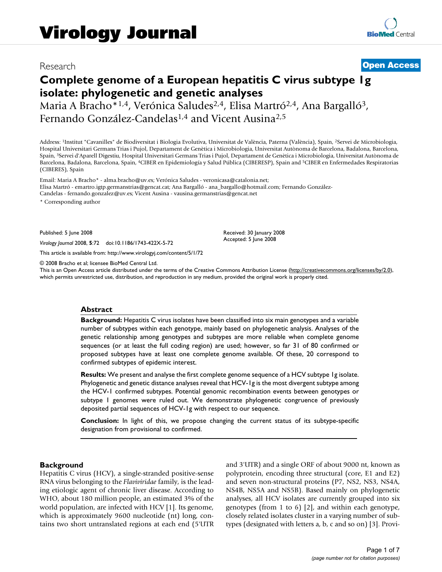# Research **[Open Access](http://www.biomedcentral.com/info/about/charter/)**

# **Complete genome of a European hepatitis C virus subtype 1g isolate: phylogenetic and genetic analyses**

Maria A Bracho<sup>\*1,4</sup>, Verónica Saludes<sup>2,4</sup>, Elisa Martró<sup>2,4</sup>, Ana Bargalló<sup>3</sup>, Fernando González-Candelas1,4 and Vicent Ausina2,5

Address: 1Institut "Cavanilles" de Biodiversitat i Biologia Evolutiva, Universitat de València, Paterna (València), Spain, 2Servei de Microbiologia, Hospital Universitari Germans Trias i Pujol, Departament de Genètica i Microbiologia, Universitat Autònoma de Barcelona, Badalona, Barcelona, Spain, 3Servei d'Aparell Digestiu, Hospital Universitari Germans Trias i Pujol, Departament de Genètica i Microbiologia, Universitat Autònoma de Barcelona, Badalona, Barcelona, Spain, 4CIBER en Epidemiología y Salud Pública (CIBERESP), Spain and 5CIBER en Enfermedades Respiratorias (CIBERES), Spain

Email: Maria A Bracho\* - alma.bracho@uv.es; Verónica Saludes - veronicasa@catalonia.net; Elisa Martró - emartro.igtp.germanstrias@gencat.cat; Ana Bargalló - ana\_bargallo@hotmail.com; Fernando González-Candelas - fernando.gonzalez@uv.es; Vicent Ausina - vausina.germanstrias@gencat.net

\* Corresponding author

Published: 5 June 2008

*Virology Journal* 2008, **5**:72 doi:10.1186/1743-422X-5-72

[This article is available from: http://www.virologyj.com/content/5/1/72](http://www.virologyj.com/content/5/1/72)

© 2008 Bracho et al; licensee BioMed Central Ltd.

This is an Open Access article distributed under the terms of the Creative Commons Attribution License [\(http://creativecommons.org/licenses/by/2.0\)](http://creativecommons.org/licenses/by/2.0), which permits unrestricted use, distribution, and reproduction in any medium, provided the original work is properly cited.

Received: 30 January 2008 Accepted: 5 June 2008

#### **Abstract**

**Background:** Hepatitis C virus isolates have been classified into six main genotypes and a variable number of subtypes within each genotype, mainly based on phylogenetic analysis. Analyses of the genetic relationship among genotypes and subtypes are more reliable when complete genome sequences (or at least the full coding region) are used; however, so far 31 of 80 confirmed or proposed subtypes have at least one complete genome available. Of these, 20 correspond to confirmed subtypes of epidemic interest.

**Results:** We present and analyse the first complete genome sequence of a HCV subtype 1g isolate. Phylogenetic and genetic distance analyses reveal that HCV-1g is the most divergent subtype among the HCV-1 confirmed subtypes. Potential genomic recombination events between genotypes or subtype 1 genomes were ruled out. We demonstrate phylogenetic congruence of previously deposited partial sequences of HCV-1g with respect to our sequence.

**Conclusion:** In light of this, we propose changing the current status of its subtype-specific designation from provisional to confirmed.

#### **Background**

Hepatitis C virus (HCV), a single-stranded positive-sense RNA virus belonging to the *Flaviviridae* family, is the leading etiologic agent of chronic liver disease. According to WHO, about 180 million people, an estimated 3% of the world population, are infected with HCV [1]. Its genome, which is approximately 9600 nucleotide (nt) long, contains two short untranslated regions at each end (5'UTR and 3'UTR) and a single ORF of about 9000 nt, known as polyprotein, encoding three structural (core, E1 and E2) and seven non-structural proteins (P7, NS2, NS3, NS4A, NS4B, NS5A and NS5B). Based mainly on phylogenetic analyses, all HCV isolates are currently grouped into six genotypes (from 1 to 6) [2], and within each genotype, closely related isolates cluster in a varying number of subtypes (designated with letters a, b, c and so on) [3]. Provi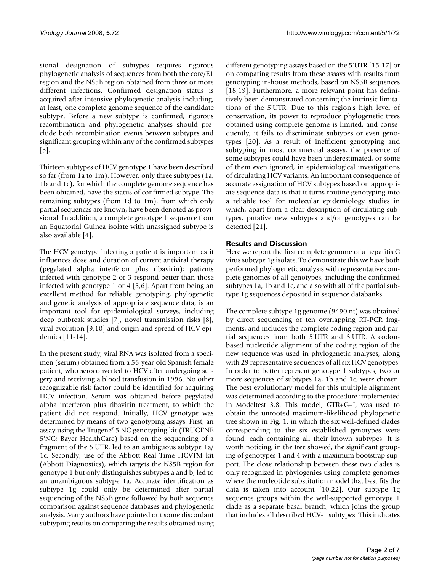sional designation of subtypes requires rigorous phylogenetic analysis of sequences from both the core/E1 region and the NS5B region obtained from three or more different infections. Confirmed designation status is acquired after intensive phylogenetic analysis including, at least, one complete genome sequence of the candidate subtype. Before a new subtype is confirmed, rigorous recombination and phylogenetic analyses should preclude both recombination events between subtypes and significant grouping within any of the confirmed subtypes [3].

Thirteen subtypes of HCV genotype 1 have been described so far (from 1a to 1m). However, only three subtypes (1a, 1b and 1c), for which the complete genome sequence has been obtained, have the status of confirmed subtype. The remaining subtypes (from 1d to 1m), from which only partial sequences are known, have been denoted as provisional. In addition, a complete genotype 1 sequence from an Equatorial Guinea isolate with unassigned subtype is also available [4].

The HCV genotype infecting a patient is important as it influences dose and duration of current antiviral therapy (pegylated alpha interferon plus ribavirin); patients infected with genotype 2 or 3 respond better than those infected with genotype 1 or 4 [5,6]. Apart from being an excellent method for reliable genotyping, phylogenetic and genetic analysis of appropriate sequence data, is an important tool for epidemiological surveys, including deep outbreak studies [7], novel transmission risks [8], viral evolution [9,10] and origin and spread of HCV epidemics [11-14].

In the present study, viral RNA was isolated from a specimen (serum) obtained from a 56-year-old Spanish female patient, who seroconverted to HCV after undergoing surgery and receiving a blood transfusion in 1996. No other recognizable risk factor could be identified for acquiring HCV infection. Serum was obtained before pegylated alpha interferon plus ribavirin treatment, to which the patient did not respond. Initially, HCV genotype was determined by means of two genotyping assays. First, an assay using the Trugene® 5'NC genotyping kit (TRUGENE 5'NC; Bayer HealthCare) based on the sequencing of a fragment of the 5'UTR, led to an ambiguous subtype 1a/ 1c. Secondly, use of the Abbott Real Time HCVTM kit (Abbott Diagnostics), which targets the NS5B region for genotype 1 but only distinguishes subtypes a and b, led to an unambiguous subtype 1a. Accurate identification as subtype 1g could only be determined after partial sequencing of the NS5B gene followed by both sequence comparison against sequence databases and phylogenetic analysis. Many authors have pointed out some discordant subtyping results on comparing the results obtained using different genotyping assays based on the 5'UTR [15-17] or on comparing results from these assays with results from genotyping in-house methods, based on NS5B sequences [18,19]. Furthermore, a more relevant point has definitively been demonstrated concerning the intrinsic limitations of the 5'UTR. Due to this region's high level of conservation, its power to reproduce phylogenetic trees obtained using complete genome is limited, and consequently, it fails to discriminate subtypes or even genotypes [20]. As a result of inefficient genotyping and subtyping in most commercial assays, the presence of some subtypes could have been underestimated, or some of them even ignored, in epidemiological investigations of circulating HCV variants. An important consequence of accurate assignation of HCV subtypes based on appropriate sequence data is that it turns routine genotyping into a reliable tool for molecular epidemiology studies in which, apart from a clear description of circulating subtypes, putative new subtypes and/or genotypes can be detected [21].

# **Results and Discussion**

Here we report the first complete genome of a hepatitis C virus subtype 1g isolate. To demonstrate this we have both performed phylogenetic analysis with representative complete genomes of all genotypes, including the confirmed subtypes 1a, 1b and 1c, and also with all of the partial subtype 1g sequences deposited in sequence databanks.

The complete subtype 1g genome (9490 nt) was obtained by direct sequencing of ten overlapping RT-PCR fragments, and includes the complete coding region and partial sequences from both 5'UTR and 3'UTR. A codonbased nucleotide alignment of the coding region of the new sequence was used in phylogenetic analyses, along with 29 representative sequences of all six HCV genotypes. In order to better represent genotype 1 subtypes, two or more sequences of subtypes 1a, 1b and 1c, were chosen. The best evolutionary model for this multiple alignment was determined according to the procedure implemented in Modeltest 3.8. This model, GTR+G+I, was used to obtain the unrooted maximum-likelihood phylogenetic tree shown in Fig. 1, in which the six well-defined clades corresponding to the six established genotypes were found, each containing all their known subtypes. It is worth noticing, in the tree showed, the significant grouping of genotypes 1 and 4 with a maximum bootstrap support. The close relationship between these two clades is only recognized in phylogenies using complete genomes where the nucleotide substitution model that best fits the data is taken into account [10,22]. Our subtype 1g sequence groups within the well-supported genotype 1 clade as a separate basal branch, which joins the group that includes all described HCV-1 subtypes. This indicates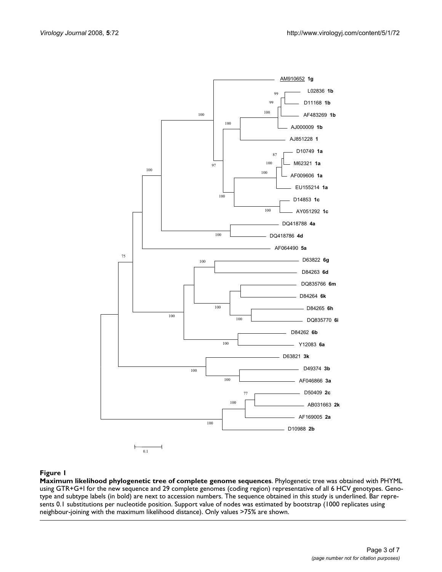

#### Figure 1

**Maximum likelihood phylogenetic tree of complete genome sequences**. Phylogenetic tree was obtained with PHYML using GTR+G+I for the new sequence and 29 complete genomes (coding region) representative of all 6 HCV genotypes. Genotype and subtype labels (in bold) are next to accession numbers. The sequence obtained in this study is underlined. Bar represents 0.1 substitutions per nucleotide position. Support value of nodes was estimated by bootstrap (1000 replicates using neighbour-joining with the maximum likelihood distance). Only values >75% are shown.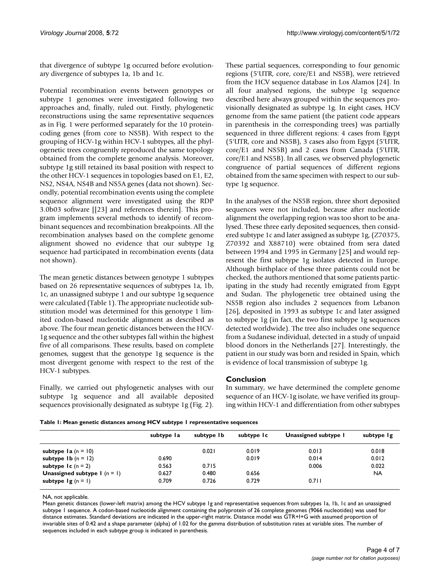that divergence of subtype 1g occurred before evolutionary divergence of subtypes 1a, 1b and 1c.

Potential recombination events between genotypes or subtype 1 genomes were investigated following two approaches and, finally, ruled out. Firstly, phylogenetic reconstructions using the same representative sequences as in Fig. 1 were performed separately for the 10 proteincoding genes (from core to NS5B). With respect to the grouping of HCV-1g within HCV-1 subtypes, all the phylogenetic trees congruently reproduced the same topology obtained from the complete genome analysis. Moreover, subtype 1g still retained its basal position with respect to the other HCV-1 sequences in topologies based on E1, E2, NS2, NS4A, NS4B and NS5A genes (data not shown). Secondly, potential recombination events using the complete sequence alignment were investigated using the RDP 3.0b03 software [[23] and references therein]. This program implements several methods to identify of recombinant sequences and recombination breakpoints. All the recombination analyses based on the complete genome alignment showed no evidence that our subtype 1g sequence had participated in recombination events (data not shown).

The mean genetic distances between genotype 1 subtypes based on 26 representative sequences of subtypes 1a, 1b, 1c, an unassigned subtype 1 and our subtype 1g sequence were calculated (Table 1). The appropriate nucleotide substitution model was determined for this genotype 1 limited codon-based nucleotide alignment as described as above. The four mean genetic distances between the HCV-1g sequence and the other subtypes fall within the highest five of all comparisons. These results, based on complete genomes, suggest that the genotype 1g sequence is the most divergent genome with respect to the rest of the HCV-1 subtypes.

Finally, we carried out phylogenetic analyses with our subtype 1g sequence and all available deposited sequences provisionally designated as subtype 1g (Fig. 2). These partial sequences, corresponding to four genomic regions (5'UTR, core, core/E1 and NS5B), were retrieved from the HCV sequence database in Los Alamos [24]. In all four analysed regions, the subtype 1g sequence described here always grouped within the sequences provisionally designated as subtype 1g. In eight cases, HCV genome from the same patient (the patient code appears in parenthesis in the corresponding trees) was partially sequenced in three different regions: 4 cases from Egypt (5'UTR, core and NS5B), 3 cases also from Egypt (5'UTR, core/E1 and NS5B) and 2 cases from Canada (5'UTR, core/E1 and NS5B). In all cases, we observed phylogenetic congruence of partial sequences of different regions obtained from the same specimen with respect to our subtype 1g sequence.

In the analyses of the NS5B region, three short deposited sequences were not included, because after nucleotide alignment the overlapping region was too short to be analysed. These three early deposited sequences, then considered subtype 1c and later assigned as subtype 1g, (Z70375, Z70392 and X88710) were obtained from sera dated between 1994 and 1995 in Germany [25] and would represent the first subtype 1g isolates detected in Europe. Although birthplace of these three patients could not be checked, the authors mentioned that some patients participating in the study had recently emigrated from Egypt and Sudan. The phylogenetic tree obtained using the NS5B region also includes 2 sequences from Lebanon [26], deposited in 1993 as subtype 1c and later assigned to subtype 1g (in fact, the two first subtype 1g sequences detected worldwide). The tree also includes one sequence from a Sudanese individual, detected in a study of unpaid blood donors in the Netherlands [27]. Interestingly, the patient in our study was born and resided in Spain, which is evidence of local transmission of subtype 1g.

# **Conclusion**

In summary, we have determined the complete genome sequence of an HCV-1g isolate, we have verified its grouping within HCV-1 and differentiation from other subtypes

|                                                                | subtype la     | subtype Ib     | subtype Ic     | Unassigned subtype 1 | subtype Ig     |
|----------------------------------------------------------------|----------------|----------------|----------------|----------------------|----------------|
| subtype $Ia(n = 10)$                                           |                | 0.021          | 0.019          | 0.013                | 0.018          |
| subtype $Ib(n = 12)$<br>subtype $lc$ (n = 2)                   | 0.690<br>0.563 | 0.715          | 0.019          | 0.014<br>0.006       | 0.012<br>0.022 |
| <b>Unassigned subtype 1</b> ( $n = 1$ )<br>subtype $lg(n = 1)$ | 0.627<br>0.709 | 0.480<br>0.726 | 0.656<br>0.729 | 0.711                | <b>NA</b>      |

NA, not applicable.

Mean genetic distances (lower-left matrix) among the HCV subtype 1g and representative sequences from subtypes 1a, 1b, 1c and an unassigned subtype 1 sequence. A codon-based nucleotide alignment containing the polyprotein of 26 complete genomes (9066 nucleotides) was used for distance estimates. Standard deviations are indicated in the upper-right matrix. Distance model was GTR+I+G with assumed proportion of invariable sites of 0.42 and a shape parameter (alpha) of 1.02 for the gamma distribution of substitution rates at variable sites. The number of sequences included in each subtype group is indicated in parenthesis.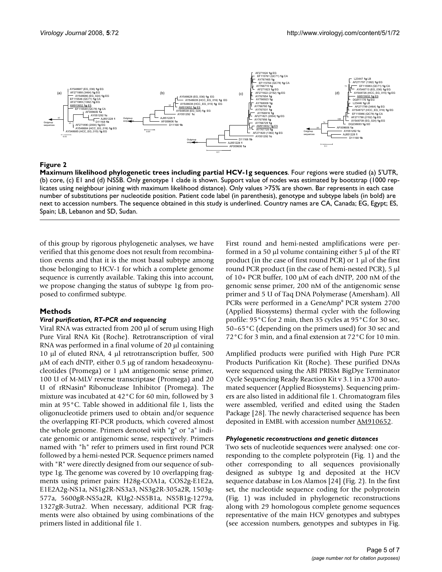

#### Figure 2

**Maximum likelihood phylogenetic trees including partial HCV-1g sequences**. Four regions were studied (a) 5'UTR, (b) core, (c) E1 and (d) NS5B. Only genotype 1 clade is shown. Support value of nodes was estimated by bootstrap (1000 replicates using neighbour joining with maximum likelihood distance). Only values >75% are shown. Bar represents in each case number of substitutions per nucleotide position. Patient code label (in parenthesis), genotype and subtype labels (in bold) are next to accession numbers. The sequence obtained in this study is underlined. Country names are CA, Canada; EG, Egypt; ES, Spain; LB, Lebanon and SD, Sudan.

of this group by rigorous phylogenetic analyses, we have verified that this genome does not result from recombination events and that it is the most basal subtype among those belonging to HCV-1 for which a complete genome sequence is currently available. Taking this into account, we propose changing the status of subtype 1g from proposed to confirmed subtype.

#### **Methods**

#### *Viral purification, RT-PCR and sequencing*

Viral RNA was extracted from 200 μl of serum using High Pure Viral RNA Kit (Roche). Retrotranscription of viral RNA was performed in a final volume of 20 μl containing 10 μl of eluted RNA, 4 μl retrotranscription buffer, 500 μM of each dNTP, either 0.5 μg of random hexadeoxynucleotides (Promega) or 1 μM antigenomic sense primer, 100 U of M-MLV reverse transcriptase (Promega) and 20 U of rRNasin® Ribonuclease Inhibitor (Promega). The mixture was incubated at 42°C for 60 min, followed by 3 min at 95°C. Table showed in additional file 1, lists the oligonucleotide primers used to obtain and/or sequence the overlapping RT-PCR products, which covered almost the whole genome. Primers denoted with "g" or "a" indicate genomic or antigenomic sense, respectively. Primers named with "h" refer to primers used in first round PCR followed by a hemi-nested PCR. Sequence primers named with "R" were directly designed from our sequence of subtype 1g. The genome was covered by 10 overlapping fragments using primer pairs: H28g-COA1a, COS2g-E1E2a, E1E2A2g-NS1a, NS1g2R-NS3a3, NS3g2R-305a2R, 1503g-577a, 5600gR-NS5a2R, KUg2-NS5B1a, NS5B1g-1279a, 1327gR-3utra2. When necessary, additional PCR fragments were also obtained by using combinations of the primers listed in additional file 1.

First round and hemi-nested amplifications were performed in a 50 μl volume containing either 5 μl of the RT product (in the case of first round PCR) or 1 μl of the first round PCR product (in the case of hemi-nested PCR), 5 μl of 10× PCR buffer, 100 μM of each dNTP, 200 nM of the genomic sense primer, 200 nM of the antigenomic sense primer and 5 U of Taq DNA Polymerase (Amersham). All PCRs were performed in a GeneAmp® PCR system 2700 (Applied Biosystems) thermal cycler with the following profile: 95°C for 2 min, then 35 cycles at 95°C for 30 sec, 50–65°C (depending on the primers used) for 30 sec and 72°C for 3 min, and a final extension at 72°C for 10 min.

Amplified products were purified with High Pure PCR Products Purification Kit (Roche). These purified DNAs were sequenced using the ABI PRISM BigDye Terminator Cycle Sequencing Ready Reaction Kit v 3.1 in a 3700 automated sequencer (Applied Biosystems). Sequencing primers are also listed in additional file 1. Chromatogram files were assembled, verified and edited using the Staden Package [28]. The newly characterised sequence has been deposited in EMBL with accession number [AM910652.](http://www.ebi.ac.uk/cgi-bin/dbfetch?AM910652)

#### *Phylogenetic reconstructions and genetic distances*

Two sets of nucleotide sequences were analysed: one corresponding to the complete polyprotein (Fig. 1) and the other corresponding to all sequences provisionally designed as subtype 1g and deposited at the HCV sequence database in Los Alamos [24] (Fig. 2). In the first set, the nucleotide sequence coding for the polyprotein (Fig. 1) was included in phylogenetic reconstructions along with 29 homologous complete genome sequences representative of the main HCV genotypes and subtypes (see accession numbers, genotypes and subtypes in Fig.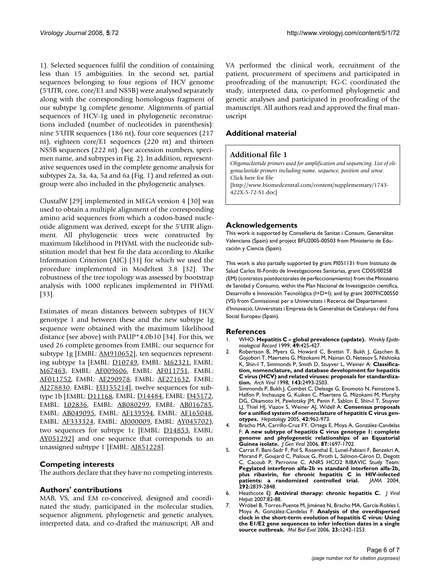1). Selected sequences fulfil the condition of containing less than 15 ambiguities. In the second set, partial sequences belonging to four regions of HCV genome (5'UTR, core, core/E1 and NS5B) were analysed separately along with the corresponding homologous fragment of our subtype 1g complete genome. Alignments of partial sequences of HCV-1g used in phylogenetic reconstructions included (number of nucleotides in parenthesis): nine 5'UTR sequences (186 nt), four core sequences (217 nt), eighteen core/E1 sequences (220 nt) and thirteen NS5B sequences (222 nt). (see accession numbers, specimen name, and subtypes in Fig. 2). In addition, representative sequences used in the complete genome analysis for subtypes 2a, 3a, 4a, 5a and 6a (Fig. 1) and referred as outgroup were also included in the phylogenetic analyses.

ClustalW [29] implemented in MEGA version 4 [30] was used to obtain a multiple alignment of the corresponding amino acid sequences from which a codon-based nucleotide alignment was derived, except for the 5'UTR alignment. All phylogenetic trees were constructed by maximum likelihood in PHYML with the nucleotide substitution model that best fit the data according to Akaike Information Criterion (AIC) [31] for which we used the procedure implemented in Modeltest 3.8 [32]. The robustness of the tree topology was assessed by bootstrap analysis with 1000 replicates implemented in PHYML [33].

Estimates of mean distances between subtypes of HCV genotype 1 and between these and the new subtype 1g sequence were obtained with the maximum likelihood distance (see above) with PAUP\*4.0b10 [34]. For this, we used 26 complete genomes from EMBL: our sequence for subtype 1g [EMBL: [AM910652\]](http://www.ebi.ac.uk/cgi-bin/dbfetch?AM910652), ten sequences representing subtype 1a [EMBL: [D10749](http://www.ebi.ac.uk/cgi-bin/dbfetch?D10749), EMBL: [M62321,](http://www.ebi.ac.uk/cgi-bin/dbfetch?M62321) EMBL: [M67463,](http://www.ebi.ac.uk/cgi-bin/dbfetch?M67463) EMBL: [AF009606,](http://www.ebi.ac.uk/cgi-bin/dbfetch?AF009606) EMBL: [AF011751](http://www.ebi.ac.uk/cgi-bin/dbfetch?AF011751), EMBL: [AF011752,](http://www.ebi.ac.uk/cgi-bin/dbfetch?AF011752) EMBL: [AF290978](http://www.ebi.ac.uk/cgi-bin/dbfetch?AF290978), EMBL: [AF271632](http://www.ebi.ac.uk/cgi-bin/dbfetch?AF271632), EMBL: [AJ278830,](http://www.ebi.ac.uk/cgi-bin/dbfetch?AJ278830) EMBL: [EU155214](http://www.ebi.ac.uk/cgi-bin/dbfetch?EU155214)], twelve sequences for subtype 1b [EMBL: [D11168,](http://www.ebi.ac.uk/cgi-bin/dbfetch?D11168) EMBL: [D14484,](http://www.ebi.ac.uk/cgi-bin/dbfetch?D14484) EMBL: [D45172,](http://www.ebi.ac.uk/cgi-bin/dbfetch?D45172) EMBL: [L02836,](http://www.ebi.ac.uk/cgi-bin/dbfetch?L02836) EMBL: [AB080299](http://www.ebi.ac.uk/cgi-bin/dbfetch?AB080299), EMBL: [AB016785,](http://www.ebi.ac.uk/cgi-bin/dbfetch?AB016785) EMBL: [AB049095,](http://www.ebi.ac.uk/cgi-bin/dbfetch?AB049095) EMBL: [AF139594](http://www.ebi.ac.uk/cgi-bin/dbfetch?AF139594), EMBL: [AF165048,](http://www.ebi.ac.uk/cgi-bin/dbfetch?AF165048) EMBL: [AF333324,](http://www.ebi.ac.uk/cgi-bin/dbfetch?AF333324) EMBL: [AJ000009](http://www.ebi.ac.uk/cgi-bin/dbfetch?AJ000009), EMBL: [AY045702\)](http://www.ebi.ac.uk/cgi-bin/dbfetch?AY045702), two sequences for subtype 1c [EMBL: [D14853](http://www.ebi.ac.uk/cgi-bin/dbfetch?D14853), EMBL: [AY051292](http://www.ebi.ac.uk/cgi-bin/dbfetch?AY051292)] and one sequence that corresponds to an unassigned subtype 1 [EMBL: [AJ851228](http://www.ebi.ac.uk/cgi-bin/dbfetch?AJ851228)].

### **Competing interests**

The authors declare that they have no competing interests.

### **Authors' contributions**

MAB, VS, and EM co-conceived, designed and coordinated the study, participated in the molecular studies, sequence alignment, phylogenetic and genetic analyses, interpreted data, and co-drafted the manuscript; AB and VA performed the clinical work, recruitment of the patient, procurement of specimens and participated in proofreading of the manuscript; FG-C coordinated the study, interpreted data, co-performed phylogenetic and genetic analyses and participated in proofreading of the manuscript. All authors read and approved the final manuscript

# **Additional material**

### **Additional file 1**

*Oligonucleotide primers used for amplification and sequencing. List of oligonucleotide primers including name, sequence, position and sense.* Click here for file [\[http://www.biomedcentral.com/content/supplementary/1743-](http://www.biomedcentral.com/content/supplementary/1743-422X-5-72-S1.doc) 422X-5-72-S1.doc]

## **Acknowledgements**

This work is supported by Conselleria de Sanitat i Consum, Generalitat Valenciana (Spain) and project BFU2005-00503 from Ministerio de Educación y Ciencia (Spain).

This work is also partially supported by grant PI051131 from Instituto de Salud Carlos III-Fondo de Investigaciones Sanitarias, grant CD05/00258 (EM) (contratos postdoctorales de perfeccionamiento) from the Ministerio de Sanidad y Consumo, within the Plan Nacional de Investigación científica, Desarrollo e Innovación Tecnológica (I+D+I); and by grant 2007FIC00550 (VS) from Comissionat per a Universitats i Recerca del Departament d'Innovació, Universitats i Empresa de la Generalitat de Catalunya i del Fons Social Europeu (Spain).

### **References**

- 1. WHO: **[Hepatitis C global prevalence \(update\).](http://www.ncbi.nlm.nih.gov/entrez/query.fcgi?cmd=Retrieve&db=PubMed&dopt=Abstract&list_uids=17521524)** *Weekly Epidemiological Record* 1999, **49:**425-427.
- 2. Robertson B, Myers G, Howard C, Brettin T, Bukh J, Gaschen B, Gojobori T, Maertens G, Mizokami M, Nainan O, Netesov S, Nishioka K, Shin-I T, Simmonds P, Smith D, Stuyver L, Weiner A: **[Classifica](http://www.ncbi.nlm.nih.gov/entrez/query.fcgi?cmd=Retrieve&db=PubMed&dopt=Abstract&list_uids=9930205)[tion, nomenclature, and database development for hepatitis](http://www.ncbi.nlm.nih.gov/entrez/query.fcgi?cmd=Retrieve&db=PubMed&dopt=Abstract&list_uids=9930205) C virus (HCV) and related viruses: proposals for standardiza[tion.](http://www.ncbi.nlm.nih.gov/entrez/query.fcgi?cmd=Retrieve&db=PubMed&dopt=Abstract&list_uids=9930205)** *Arch Virol* 1998, **143:**2493-2503.
- 3. Simmonds P, Bukh J, Combet C, Deleage G, Enomoto N, Feinstone S, Halfon P, Inchauspe G, Kuiken C, Maertens G, Mizokami M, Murphy DG, Okamoto H, Pawlotsky JM, Penin F, Sablon E, Shin-I T, Stuyver LJ, Thiel HJ, Viazov S, Weiner AJ, Widell A: **[Consensus proposals](http://www.ncbi.nlm.nih.gov/entrez/query.fcgi?cmd=Retrieve&db=PubMed&dopt=Abstract&list_uids=16149085) [for a unified system of nomenclature of hepatitis C virus gen](http://www.ncbi.nlm.nih.gov/entrez/query.fcgi?cmd=Retrieve&db=PubMed&dopt=Abstract&list_uids=16149085)[otypes.](http://www.ncbi.nlm.nih.gov/entrez/query.fcgi?cmd=Retrieve&db=PubMed&dopt=Abstract&list_uids=16149085)** *Hepatology* 2005, **42:**962-973.
- 4. Bracho MA, Carrillo-Cruz FY, Ortega E, Moya A, González-Candelas F: **[A new subtype of hepatitis C virus genotype 1: complete](http://www.ncbi.nlm.nih.gov/entrez/query.fcgi?cmd=Retrieve&db=PubMed&dopt=Abstract&list_uids=16690936) [genome and phylogenetic relationships of an Equatorial](http://www.ncbi.nlm.nih.gov/entrez/query.fcgi?cmd=Retrieve&db=PubMed&dopt=Abstract&list_uids=16690936) [Guinea isolate.](http://www.ncbi.nlm.nih.gov/entrez/query.fcgi?cmd=Retrieve&db=PubMed&dopt=Abstract&list_uids=16690936)** *J Gen Virol* 2006, **87:**1697-1702.
- 5. Carrat F, Bani-Sadr F, Pol S, Rosenthal E, Lunel-Fabiani F, Benzekri A, Morand P, Goujard C, Pialoux G, Piroth L, Salmon-Céron D, Degott C, Cacoub P, Perronne C, ANRS HCO2 RIBAVIC Study Team: **[Pegylated interferon alfa-2b vs standard interferon alfa-2b,](http://www.ncbi.nlm.nih.gov/entrez/query.fcgi?cmd=Retrieve&db=PubMed&dopt=Abstract&list_uids=15598915) plus ribavirin, for chronic hepatitis C in HIV-infected [patients: a randomized controlled trial.](http://www.ncbi.nlm.nih.gov/entrez/query.fcgi?cmd=Retrieve&db=PubMed&dopt=Abstract&list_uids=15598915)** *JAMA* 2004, **292:**2839-2848.
- 6. Heathcote EJ: **Antiviral therapy: chronic hepatitis C.** *J Viral Hepat* 2007:82-88.
- 7. Wróbel B, Torres-Puente M, Jiménez N, Bracho MA, García-Robles I, Moya A, González-Candelas F: **[Analysis of the overdispersed](http://www.ncbi.nlm.nih.gov/entrez/query.fcgi?cmd=Retrieve&db=PubMed&dopt=Abstract&list_uids=16585120) [clock in the short-term evolution of hepatitis C virus: Using](http://www.ncbi.nlm.nih.gov/entrez/query.fcgi?cmd=Retrieve&db=PubMed&dopt=Abstract&list_uids=16585120) the E1/E2 gene sequences to infer infection dates in a single [source outbreak.](http://www.ncbi.nlm.nih.gov/entrez/query.fcgi?cmd=Retrieve&db=PubMed&dopt=Abstract&list_uids=16585120)** *Mol Biol Evol* 2006, **23:**1242-1253.